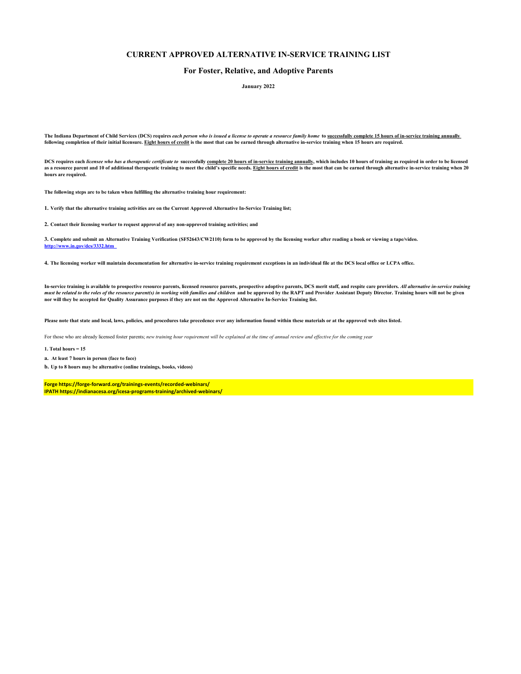## **CURRENT APPROVED ALTERNATIVE IN-SERVICE TRAINING LIST**

## **For Foster, Relative, and Adoptive Parents**

**January 2022**

The Indiana Department of Child Services (DCS) requires *each person who is issued a license to operate a resource family home* to successfully complete 15 hours of in-service training annually **following completion of their initial licensure. Eight hours of credit is the most that can be earned through alternative in-service training when 15 hours are required.** 

**DCS requires each** *licensee who has a therapeutic certificate to* **successfully complete 20 hours of in-service training annually, which includes 10 hours of training as required in order to be licensed**  as a resource parent and 10 of additional therapeutic training to meet the child's specific needs. Eight hours of credit is the most that can be earned through alternative in-service training when 20 **hours are required.** 

**The following steps are to be taken when fulfilling the alternative training hour requirement:** 

**1. Verify that the alternative training activities are on the Current Approved Alternative In-Service Training list;** 

**2. Contact their licensing worker to request approval of any non-approved training activities; and** 

**3. Complete and submit an Alternative Training Verification (SF52643/CW2110) form to be approved by the licensing worker after reading a book or viewing a tape/video. http://www.in.gov/dcs/3332.htm** 

**4. The licensing worker will maintain documentation for alternative in-service training requirement exceptions in an individual file at the DCS local office or LCPA office.** 

In-service training is available to prospective resource parents, licensed resource parents, prospective adoptive parents, DCS merit staff, and respite care providers. *All alternative in-service training*<br>*must be related* 

**Please note that state and local, laws, policies, and procedures take precedence over any information found within these materials or at the approved web sites listed.** 

For those who are already licensed foster parents; *new training hour requirement will be explained at the time of annual review and effective for the coming year* 

**1. Total hours = 15** 

**a. At least 7 hours in person (face to face)** 

**b. Up to 8 hours may be alternative (online trainings, books, videos)** 

**Forge https://forge-forward.org/trainings-events/recorded-webinars/ IPATH https://indianacesa.org/icesa-programs-training/archived-webinars/**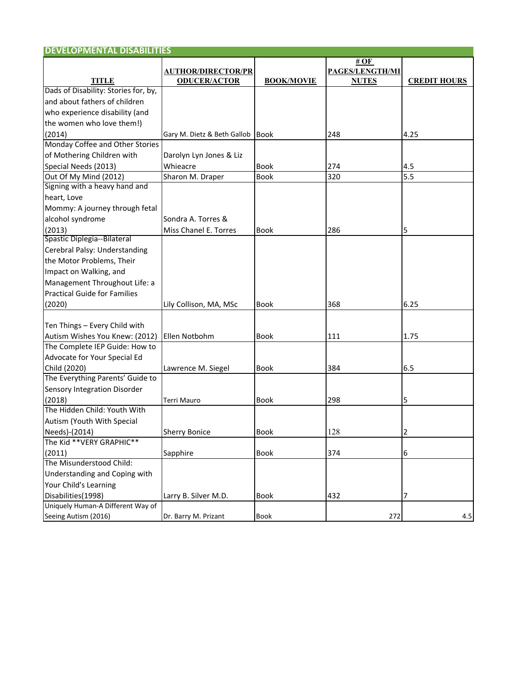| <b>DEVELOPMENTAL DISABILITIES</b>    |                             |                   |                 |                     |
|--------------------------------------|-----------------------------|-------------------|-----------------|---------------------|
|                                      |                             |                   | # OF            |                     |
|                                      | <b>AUTHOR/DIRECTOR/PR</b>   |                   | PAGES/LENGTH/MI |                     |
| <b>TITLE</b>                         | <b>ODUCER/ACTOR</b>         | <b>BOOK/MOVIE</b> | <b>NUTES</b>    | <b>CREDIT HOURS</b> |
| Dads of Disability: Stories for, by, |                             |                   |                 |                     |
| and about fathers of children        |                             |                   |                 |                     |
| who experience disability (and       |                             |                   |                 |                     |
| the women who love them!)            |                             |                   |                 |                     |
| (2014)                               | Gary M. Dietz & Beth Gallob | <b>Book</b>       | 248             | 4.25                |
| Monday Coffee and Other Stories      |                             |                   |                 |                     |
| of Mothering Children with           | Darolyn Lyn Jones & Liz     |                   |                 |                     |
| Special Needs (2013)                 | Whieacre                    | Book              | 274             | 4.5                 |
| Out Of My Mind (2012)                | Sharon M. Draper            | Book              | 320             | 5.5                 |
| Signing with a heavy hand and        |                             |                   |                 |                     |
| heart, Love                          |                             |                   |                 |                     |
| Mommy: A journey through fetal       |                             |                   |                 |                     |
| alcohol syndrome                     | Sondra A. Torres &          |                   |                 |                     |
| (2013)                               | Miss Chanel E. Torres       | <b>Book</b>       | 286             | 5                   |
| Spastic Diplegia--Bilateral          |                             |                   |                 |                     |
| Cerebral Palsy: Understanding        |                             |                   |                 |                     |
| the Motor Problems, Their            |                             |                   |                 |                     |
| Impact on Walking, and               |                             |                   |                 |                     |
| Management Throughout Life: a        |                             |                   |                 |                     |
| <b>Practical Guide for Families</b>  |                             |                   |                 |                     |
| (2020)                               | Lily Collison, MA, MSc      | <b>Book</b>       | 368             | 6.25                |
|                                      |                             |                   |                 |                     |
| Ten Things - Every Child with        |                             |                   |                 |                     |
| Autism Wishes You Knew: (2012)       | Ellen Notbohm               | <b>Book</b>       | 111             | 1.75                |
| The Complete IEP Guide: How to       |                             |                   |                 |                     |
| Advocate for Your Special Ed         |                             |                   |                 |                     |
| Child (2020)                         | Lawrence M. Siegel          | <b>Book</b>       | 384             | 6.5                 |
| The Everything Parents' Guide to     |                             |                   |                 |                     |
| Sensory Integration Disorder         |                             |                   |                 |                     |
| (2018)                               | Terri Mauro                 | <b>Book</b>       | 298             | 5                   |
| The Hidden Child: Youth With         |                             |                   |                 |                     |
| Autism (Youth With Special           |                             |                   |                 |                     |
| Needs)-(2014)                        | <b>Sherry Bonice</b>        | <b>Book</b>       | 128             | 2                   |
| The Kid ** VERY GRAPHIC**            |                             |                   |                 |                     |
| (2011)                               | Sapphire                    | <b>Book</b>       | 374             | 6                   |
| The Misunderstood Child:             |                             |                   |                 |                     |
| Understanding and Coping with        |                             |                   |                 |                     |
| Your Child's Learning                |                             |                   |                 |                     |
| Disabilities(1998)                   | Larry B. Silver M.D.        | Book              | 432             | 7                   |
| Uniquely Human-A Different Way of    |                             |                   |                 |                     |
| Seeing Autism (2016)                 | Dr. Barry M. Prizant        | Book              | 272             | 4.5                 |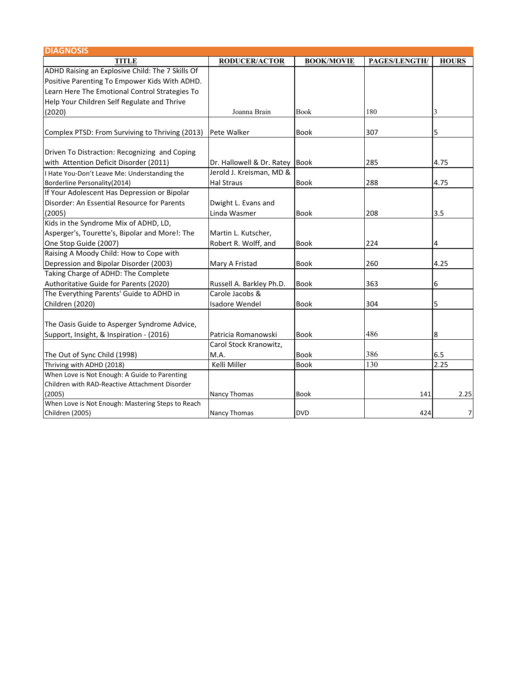| <b>DIAGNOSIS</b>                                  |                           |                   |               |                |
|---------------------------------------------------|---------------------------|-------------------|---------------|----------------|
| <b>TITLE</b>                                      | <b>RODUCER/ACTOR</b>      | <b>BOOK/MOVIE</b> | PAGES/LENGTH/ | <b>HOURS</b>   |
| ADHD Raising an Explosive Child: The 7 Skills Of  |                           |                   |               |                |
| Positive Parenting To Empower Kids With ADHD.     |                           |                   |               |                |
| Learn Here The Emotional Control Strategies To    |                           |                   |               |                |
| Help Your Children Self Regulate and Thrive       |                           |                   |               |                |
| (2020)                                            | Joanna Brain              | <b>Book</b>       | 180           | 3              |
| Complex PTSD: From Surviving to Thriving (2013)   | Pete Walker               | <b>Book</b>       | 307           | 5              |
| Driven To Distraction: Recognizing and Coping     |                           |                   |               |                |
| with Attention Deficit Disorder (2011)            | Dr. Hallowell & Dr. Ratey | <b>Book</b>       | 285           | 4.75           |
| I Hate You-Don't Leave Me: Understanding the      | Jerold J. Kreisman, MD &  |                   |               |                |
| Borderline Personality(2014)                      | <b>Hal Straus</b>         | <b>Book</b>       | 288           | 4.75           |
| If Your Adolescent Has Depression or Bipolar      |                           |                   |               |                |
| Disorder: An Essential Resource for Parents       | Dwight L. Evans and       |                   |               |                |
| (2005)                                            | Linda Wasmer              | <b>Book</b>       | 208           | 3.5            |
| Kids in the Syndrome Mix of ADHD, LD,             |                           |                   |               |                |
| Asperger's, Tourette's, Bipolar and More!: The    | Martin L. Kutscher,       |                   |               |                |
| One Stop Guide (2007)                             | Robert R. Wolff, and      | <b>Book</b>       | 224           | 4              |
| Raising A Moody Child: How to Cope with           |                           |                   |               |                |
| Depression and Bipolar Disorder (2003)            | Mary A Fristad            | <b>Book</b>       | 260           | 4.25           |
| Taking Charge of ADHD: The Complete               |                           |                   |               |                |
| Authoritative Guide for Parents (2020)            | Russell A. Barkley Ph.D.  | <b>Book</b>       | 363           | 6              |
| The Everything Parents' Guide to ADHD in          | Carole Jacobs &           |                   |               |                |
| Children (2020)                                   | <b>Isadore Wendel</b>     | <b>Book</b>       | 304           | 5              |
| The Oasis Guide to Asperger Syndrome Advice,      |                           |                   |               |                |
| Support, Insight, & Inspiration - (2016)          | Patricia Romanowski       | <b>Book</b>       | 486           | 8              |
|                                                   | Carol Stock Kranowitz,    |                   |               |                |
| The Out of Sync Child (1998)                      | M.A.                      | <b>Book</b>       | 386           | 6.5            |
| Thriving with ADHD (2018)                         | Kelli Miller              | <b>Book</b>       | 130           | 2.25           |
| When Love is Not Enough: A Guide to Parenting     |                           |                   |               |                |
| Children with RAD-Reactive Attachment Disorder    |                           |                   |               |                |
| (2005)                                            | <b>Nancy Thomas</b>       | <b>Book</b>       | 141           | 2.25           |
| When Love is Not Enough: Mastering Steps to Reach |                           |                   |               |                |
| Children (2005)                                   | Nancy Thomas              | <b>DVD</b>        | 424           | $\overline{7}$ |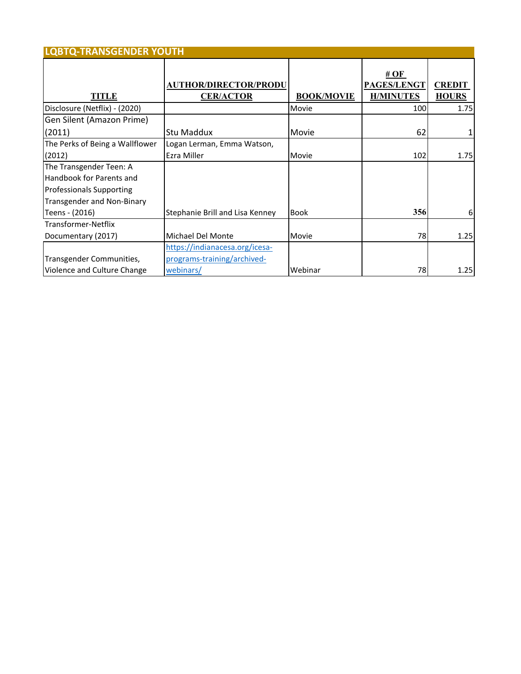| <b>LQBTQ-TRANSGENDER YOUTH</b>    |                                                  |                   |                                         |                               |
|-----------------------------------|--------------------------------------------------|-------------------|-----------------------------------------|-------------------------------|
| <b>TITLE</b>                      | <b>AUTHOR/DIRECTOR/PRODU</b><br><b>CER/ACTOR</b> | <b>BOOK/MOVIE</b> | # OF<br>PAGES/LENGT<br><b>H/MINUTES</b> | <b>CREDIT</b><br><b>HOURS</b> |
| Disclosure (Netflix) - (2020)     |                                                  | Movie             | 100                                     | 1.75                          |
| Gen Silent (Amazon Prime)         |                                                  |                   |                                         |                               |
| (2011)                            | Stu Maddux                                       | Movie             | 62                                      |                               |
| The Perks of Being a Wallflower   | Logan Lerman, Emma Watson,                       |                   |                                         |                               |
| (2012)                            | Ezra Miller                                      | Movie             | 102                                     | 1.75                          |
| The Transgender Teen: A           |                                                  |                   |                                         |                               |
| Handbook for Parents and          |                                                  |                   |                                         |                               |
| <b>Professionals Supporting</b>   |                                                  |                   |                                         |                               |
| <b>Transgender and Non-Binary</b> |                                                  |                   |                                         |                               |
| Teens - (2016)                    | Stephanie Brill and Lisa Kenney                  | <b>Book</b>       | 356                                     | 6                             |
| Transformer-Netflix               |                                                  |                   |                                         |                               |
| Documentary (2017)                | Michael Del Monte                                | Movie             | 78I                                     | 1.25                          |
|                                   | https://indianacesa.org/icesa-                   |                   |                                         |                               |
| Transgender Communities,          | programs-training/archived-                      |                   |                                         |                               |
| Violence and Culture Change       | webinars/                                        | Webinar           | 78                                      | 1.25                          |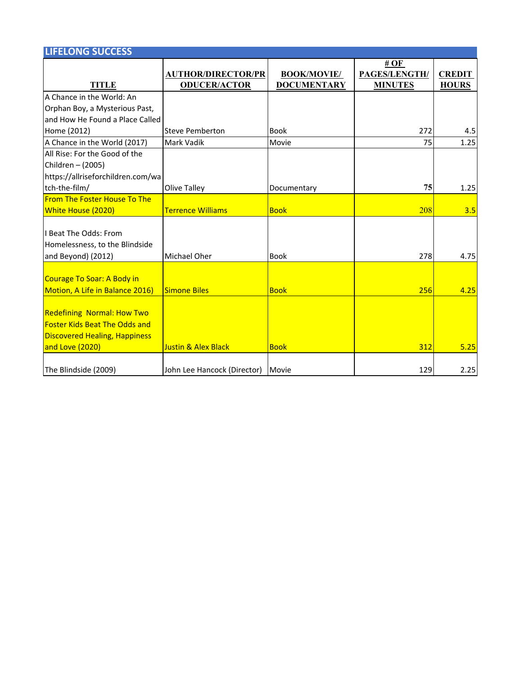| <b>LIFELONG SUCCESS</b>              |                                |                    |                |               |
|--------------------------------------|--------------------------------|--------------------|----------------|---------------|
|                                      |                                |                    | # $OF$         |               |
|                                      | <b>AUTHOR/DIRECTOR/PR</b>      | <b>BOOK/MOVIE/</b> | PAGES/LENGTH/  | <b>CREDIT</b> |
| <b>TITLE</b>                         | <b>ODUCER/ACTOR</b>            | <b>DOCUMENTARY</b> | <b>MINUTES</b> | <b>HOURS</b>  |
| A Chance in the World: An            |                                |                    |                |               |
| Orphan Boy, a Mysterious Past,       |                                |                    |                |               |
| and How He Found a Place Called      |                                |                    |                |               |
| Home (2012)                          | <b>Steve Pemberton</b>         | <b>Book</b>        | 272            | 4.5           |
| A Chance in the World (2017)         | Mark Vadik                     | Movie              | 75             | 1.25          |
| All Rise: For the Good of the        |                                |                    |                |               |
| Children - (2005)                    |                                |                    |                |               |
| https://allriseforchildren.com/wa    |                                |                    |                |               |
| tch-the-film/                        | Olive Talley                   | Documentary        | 75             | 1.25          |
| <b>From The Foster House To The</b>  |                                |                    |                |               |
| <b>White House (2020)</b>            | <b>Terrence Williams</b>       | <b>Book</b>        | 208            | 3.5           |
|                                      |                                |                    |                |               |
| I Beat The Odds: From                |                                |                    |                |               |
| Homelessness, to the Blindside       |                                |                    |                |               |
| and Beyond) (2012)                   | Michael Oher                   | <b>Book</b>        | 278            | 4.75          |
|                                      |                                |                    |                |               |
| Courage To Soar: A Body in           |                                |                    |                |               |
| Motion, A Life in Balance 2016)      | <b>Simone Biles</b>            | <b>Book</b>        | 256            | 4.25          |
|                                      |                                |                    |                |               |
| <b>Redefining Normal: How Two</b>    |                                |                    |                |               |
| <b>Foster Kids Beat The Odds and</b> |                                |                    |                |               |
| <b>Discovered Healing, Happiness</b> |                                |                    |                |               |
| and Love (2020)                      | <b>Justin &amp; Alex Black</b> | <b>Book</b>        | 312            | 5.25          |
|                                      |                                |                    |                |               |
| The Blindside (2009)                 | John Lee Hancock (Director)    | Movie              | 129            | 2.25          |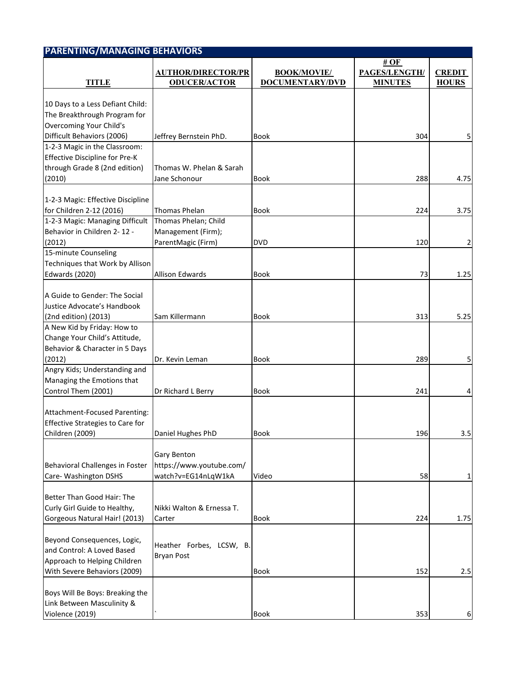| <b>PARENTING/MANAGING BEHAVIORS</b>                                                         |                                                                |                                              |                         |               |
|---------------------------------------------------------------------------------------------|----------------------------------------------------------------|----------------------------------------------|-------------------------|---------------|
|                                                                                             | <b>AUTHOR/DIRECTOR/PR</b><br><b>ODUCER/ACTOR</b>               | <b>BOOK/MOVIE/</b><br><b>DOCUMENTARY/DVD</b> | # $OF$<br>PAGES/LENGTH/ | <b>CREDIT</b> |
| <b>TITLE</b>                                                                                |                                                                |                                              | <b>MINUTES</b>          | <b>HOURS</b>  |
| 10 Days to a Less Defiant Child:<br>The Breakthrough Program for                            |                                                                |                                              |                         |               |
| Overcoming Your Child's<br>Difficult Behaviors (2006)                                       | Jeffrey Bernstein PhD.                                         | <b>Book</b>                                  | 304                     |               |
| 1-2-3 Magic in the Classroom:                                                               |                                                                |                                              |                         |               |
| <b>Effective Discipline for Pre-K</b>                                                       |                                                                |                                              |                         |               |
| through Grade 8 (2nd edition)                                                               | Thomas W. Phelan & Sarah                                       |                                              |                         |               |
|                                                                                             |                                                                |                                              |                         |               |
| (2010)                                                                                      | Jane Schonour                                                  | <b>Book</b>                                  | 288                     | 4.75          |
|                                                                                             |                                                                |                                              |                         |               |
| 1-2-3 Magic: Effective Discipline                                                           |                                                                |                                              |                         |               |
| for Children 2-12 (2016)                                                                    | <b>Thomas Phelan</b>                                           | Book                                         | 224                     | 3.75          |
| 1-2-3 Magic: Managing Difficult                                                             | Thomas Phelan; Child                                           |                                              |                         |               |
| Behavior in Children 2-12 -                                                                 | Management (Firm);                                             |                                              |                         |               |
| (2012)                                                                                      | ParentMagic (Firm)                                             | <b>DVD</b>                                   | 120                     | 2             |
| 15-minute Counseling                                                                        |                                                                |                                              |                         |               |
| Techniques that Work by Allison                                                             |                                                                |                                              |                         |               |
| <b>Edwards (2020)</b>                                                                       | <b>Allison Edwards</b>                                         | <b>Book</b>                                  | 73                      | 1.25          |
| A Guide to Gender: The Social<br>Justice Advocate's Handbook                                |                                                                |                                              |                         |               |
| (2nd edition) (2013)                                                                        | Sam Killermann                                                 | <b>Book</b>                                  | 313                     | 5.25          |
| A New Kid by Friday: How to                                                                 |                                                                |                                              |                         |               |
| Change Your Child's Attitude,                                                               |                                                                |                                              |                         |               |
| Behavior & Character in 5 Days                                                              |                                                                |                                              |                         |               |
| (2012)                                                                                      | Dr. Kevin Leman                                                | <b>Book</b>                                  | 289                     |               |
| Angry Kids; Understanding and                                                               |                                                                |                                              |                         | 5             |
|                                                                                             |                                                                |                                              |                         |               |
| Managing the Emotions that                                                                  |                                                                |                                              |                         |               |
| Control Them (2001)                                                                         | Dr Richard L Berry                                             | <b>Book</b>                                  | 241                     | 4             |
| Attachment-Focused Parenting:<br><b>Effective Strategies to Care for</b><br>Children (2009) | Daniel Hughes PhD                                              | Book                                         | 196                     | 3.5           |
|                                                                                             |                                                                |                                              |                         |               |
| Behavioral Challenges in Foster<br>Care- Washington DSHS                                    | Gary Benton<br>https://www.youtube.com/<br>watch?v=EG14nLqW1kA | Video                                        | 58                      | 1             |
|                                                                                             |                                                                |                                              |                         |               |
| Better Than Good Hair: The                                                                  |                                                                |                                              |                         |               |
| Curly Girl Guide to Healthy,                                                                | Nikki Walton & Ernessa T.                                      |                                              |                         |               |
| Gorgeous Natural Hair! (2013)                                                               | Carter                                                         | Book                                         | 224                     | 1.75          |
|                                                                                             |                                                                |                                              |                         |               |
| Beyond Consequences, Logic,<br>and Control: A Loved Based<br>Approach to Helping Children   | Heather Forbes, LCSW, B.<br><b>Bryan Post</b>                  |                                              |                         |               |
| With Severe Behaviors (2009)                                                                |                                                                | <b>Book</b>                                  | 152                     | 2.5           |
|                                                                                             |                                                                |                                              |                         |               |
| Boys Will Be Boys: Breaking the<br>Link Between Masculinity &                               |                                                                |                                              |                         |               |
| Violence (2019)                                                                             |                                                                | Book                                         | 353                     | 6             |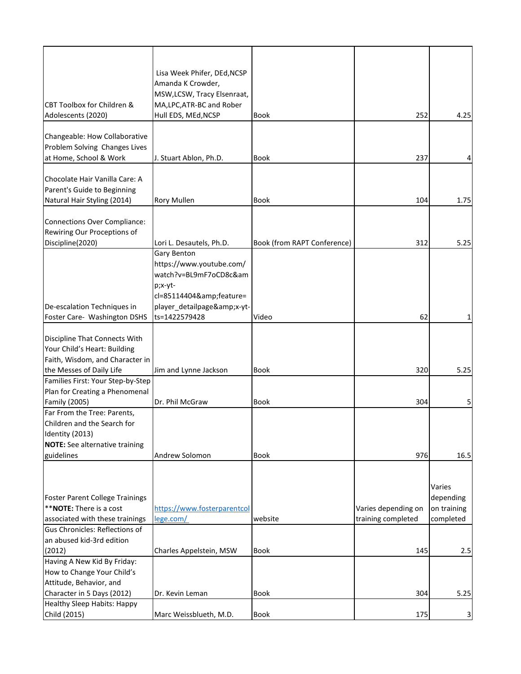|                                        | Lisa Week Phifer, DEd, NCSP |                             |                     |             |
|----------------------------------------|-----------------------------|-----------------------------|---------------------|-------------|
|                                        | Amanda K Crowder,           |                             |                     |             |
|                                        | MSW, LCSW, Tracy Elsenraat, |                             |                     |             |
| CBT Toolbox for Children &             | MA, LPC, ATR-BC and Rober   |                             |                     |             |
| Adolescents (2020)                     | Hull EDS, MEd, NCSP         | <b>Book</b>                 | 252                 | 4.25        |
|                                        |                             |                             |                     |             |
| Changeable: How Collaborative          |                             |                             |                     |             |
| Problem Solving Changes Lives          |                             |                             |                     |             |
| at Home, School & Work                 | J. Stuart Ablon, Ph.D.      | <b>Book</b>                 | 237                 | 4           |
|                                        |                             |                             |                     |             |
| Chocolate Hair Vanilla Care: A         |                             |                             |                     |             |
|                                        |                             |                             |                     |             |
| Parent's Guide to Beginning            |                             |                             |                     |             |
| Natural Hair Styling (2014)            | <b>Rory Mullen</b>          | <b>Book</b>                 | 104                 | 1.75        |
|                                        |                             |                             |                     |             |
| <b>Connections Over Compliance:</b>    |                             |                             |                     |             |
| Rewiring Our Proceptions of            |                             |                             |                     |             |
| Discipline(2020)                       | Lori L. Desautels, Ph.D.    | Book (from RAPT Conference) | 312                 | 5.25        |
|                                        | Gary Benton                 |                             |                     |             |
|                                        | https://www.youtube.com/    |                             |                     |             |
|                                        | watch?v=BL9mF7oCD8c&am      |                             |                     |             |
|                                        | p;x-yt-                     |                             |                     |             |
|                                        | cl=85114404&feature=        |                             |                     |             |
| De-escalation Techniques in            | player_detailpage&x-yt-     |                             |                     |             |
| Foster Care- Washington DSHS           | ts=1422579428               | Video                       | 62                  | 1           |
|                                        |                             |                             |                     |             |
| Discipline That Connects With          |                             |                             |                     |             |
| Your Child's Heart: Building           |                             |                             |                     |             |
| Faith, Wisdom, and Character in        |                             |                             |                     |             |
| the Messes of Daily Life               | Jim and Lynne Jackson       | <b>Book</b>                 | 320                 | 5.25        |
| Families First: Your Step-by-Step      |                             |                             |                     |             |
| Plan for Creating a Phenomenal         |                             |                             |                     |             |
| <b>Family (2005)</b>                   | Dr. Phil McGraw             | <b>Book</b>                 | 304                 | 5           |
| Far From the Tree: Parents,            |                             |                             |                     |             |
| Children and the Search for            |                             |                             |                     |             |
| Identity (2013)                        |                             |                             |                     |             |
| <b>NOTE:</b> See alternative training  |                             |                             |                     |             |
| guidelines                             |                             | <b>Book</b>                 |                     |             |
|                                        | Andrew Solomon              |                             | 976                 | 16.5        |
|                                        |                             |                             |                     |             |
|                                        |                             |                             |                     |             |
|                                        |                             |                             |                     | Varies      |
| <b>Foster Parent College Trainings</b> |                             |                             |                     | depending   |
| ** NOTE: There is a cost               | https://www.fosterparentcol |                             | Varies depending on | on training |
| associated with these trainings        | lege.com/                   | website                     | training completed  | completed   |
| Gus Chronicles: Reflections of         |                             |                             |                     |             |
| an abused kid-3rd edition              |                             |                             |                     |             |
| (2012)                                 | Charles Appelstein, MSW     | <b>Book</b>                 | 145                 | 2.5         |
| Having A New Kid By Friday:            |                             |                             |                     |             |
| How to Change Your Child's             |                             |                             |                     |             |
| Attitude, Behavior, and                |                             |                             |                     |             |
| Character in 5 Days (2012)             | Dr. Kevin Leman             | <b>Book</b>                 | 304                 | 5.25        |
| <b>Healthy Sleep Habits: Happy</b>     |                             |                             |                     |             |
| Child (2015)                           | Marc Weissblueth, M.D.      | Book                        | 175                 | 3           |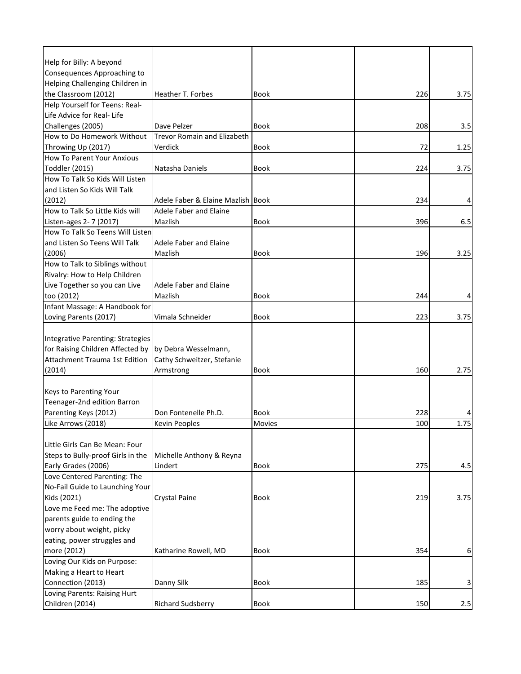| Help for Billy: A beyond                 |                                    |             |     |      |
|------------------------------------------|------------------------------------|-------------|-----|------|
| Consequences Approaching to              |                                    |             |     |      |
| Helping Challenging Children in          |                                    |             |     |      |
| the Classroom (2012)                     | Heather T. Forbes                  | <b>Book</b> | 226 | 3.75 |
| Help Yourself for Teens: Real-           |                                    |             |     |      |
| Life Advice for Real- Life               |                                    |             |     |      |
| Challenges (2005)                        | Dave Pelzer                        | <b>Book</b> | 208 | 3.5  |
| How to Do Homework Without               | <b>Trevor Romain and Elizabeth</b> |             |     |      |
| Throwing Up (2017)                       | Verdick                            | Book        | 72  | 1.25 |
| <b>How To Parent Your Anxious</b>        |                                    |             |     |      |
| Toddler (2015)                           | Natasha Daniels                    | <b>Book</b> | 224 | 3.75 |
| How To Talk So Kids Will Listen          |                                    |             |     |      |
| and Listen So Kids Will Talk             |                                    |             |     |      |
| (2012)                                   | Adele Faber & Elaine Mazlish Book  |             | 234 |      |
| How to Talk So Little Kids will          | <b>Adele Faber and Elaine</b>      |             |     |      |
| Listen-ages 2- 7 (2017)                  | Mazlish                            | <b>Book</b> | 396 | 6.5  |
| How To Talk So Teens Will Listen         |                                    |             |     |      |
| and Listen So Teens Will Talk            | Adele Faber and Elaine             |             |     |      |
| (2006)                                   | Mazlish                            | <b>Book</b> | 196 | 3.25 |
| How to Talk to Siblings without          |                                    |             |     |      |
| Rivalry: How to Help Children            |                                    |             |     |      |
| Live Together so you can Live            | Adele Faber and Elaine             |             |     |      |
| too (2012)                               | Mazlish                            | <b>Book</b> | 244 |      |
| Infant Massage: A Handbook for           |                                    |             |     |      |
| Loving Parents (2017)                    | Vimala Schneider                   | <b>Book</b> | 223 | 3.75 |
|                                          |                                    |             |     |      |
| <b>Integrative Parenting: Strategies</b> |                                    |             |     |      |
| for Raising Children Affected by         | by Debra Wesselmann,               |             |     |      |
| Attachment Trauma 1st Edition            | Cathy Schweitzer, Stefanie         |             |     |      |
| (2014)                                   | Armstrong                          | Book        | 160 | 2.75 |
|                                          |                                    |             |     |      |
| <b>Keys to Parenting Your</b>            |                                    |             |     |      |
| Teenager-2nd edition Barron              |                                    |             |     |      |
| Parenting Keys (2012)                    | Don Fontenelle Ph.D.               | Book        | 228 |      |
| Like Arrows (2018)                       | <b>Kevin Peoples</b>               | Movies      | 100 | 1.75 |
|                                          |                                    |             |     |      |
| Little Girls Can Be Mean: Four           |                                    |             |     |      |
| Steps to Bully-proof Girls in the        | Michelle Anthony & Reyna           |             |     |      |
| Early Grades (2006)                      | Lindert                            | <b>Book</b> | 275 | 4.5  |
| Love Centered Parenting: The             |                                    |             |     |      |
| No-Fail Guide to Launching Your          |                                    |             |     |      |
| Kids (2021)                              | Crystal Paine                      | Book        | 219 | 3.75 |
| Love me Feed me: The adoptive            |                                    |             |     |      |
| parents guide to ending the              |                                    |             |     |      |
| worry about weight, picky                |                                    |             |     |      |
| eating, power struggles and              |                                    |             |     |      |
| more (2012)                              | Katharine Rowell, MD               | <b>Book</b> | 354 | 6    |
| Loving Our Kids on Purpose:              |                                    |             |     |      |
| Making a Heart to Heart                  |                                    |             |     |      |
| Connection (2013)                        | Danny Silk                         | <b>Book</b> | 185 | 3    |
| Loving Parents: Raising Hurt             |                                    |             |     |      |
| Children (2014)                          | Richard Sudsberry                  | Book        | 150 | 2.5  |
|                                          |                                    |             |     |      |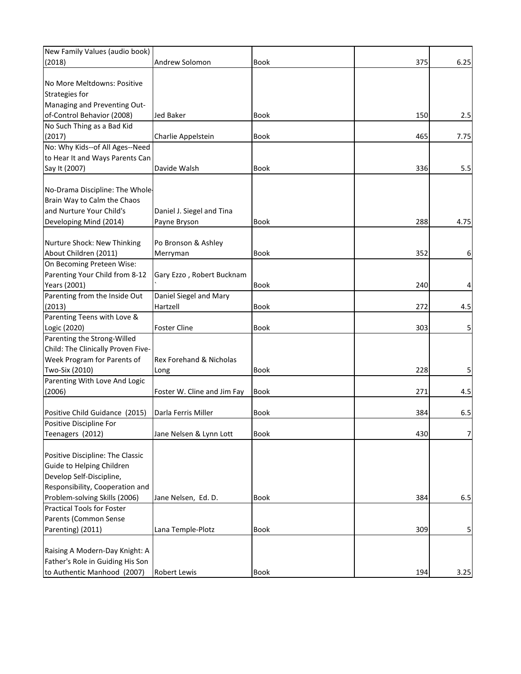| New Family Values (audio book)     |                                    |             |     |                |
|------------------------------------|------------------------------------|-------------|-----|----------------|
| (2018)                             | Andrew Solomon                     | Book        | 375 | 6.25           |
|                                    |                                    |             |     |                |
| No More Meltdowns: Positive        |                                    |             |     |                |
| Strategies for                     |                                    |             |     |                |
| Managing and Preventing Out-       |                                    |             |     |                |
| of-Control Behavior (2008)         | <b>Jed Baker</b>                   | Book        | 150 | 2.5            |
| No Such Thing as a Bad Kid         |                                    |             |     |                |
| (2017)                             | Charlie Appelstein                 | <b>Book</b> | 465 | 7.75           |
| No: Why Kids--of All Ages--Need    |                                    |             |     |                |
| to Hear It and Ways Parents Can    |                                    |             |     |                |
| Say It (2007)                      | Davide Walsh                       | <b>Book</b> | 336 | 5.5            |
|                                    |                                    |             |     |                |
| No-Drama Discipline: The Whole-    |                                    |             |     |                |
| Brain Way to Calm the Chaos        |                                    |             |     |                |
| and Nurture Your Child's           | Daniel J. Siegel and Tina          |             |     |                |
| Developing Mind (2014)             | Payne Bryson                       | Book        | 288 | 4.75           |
|                                    |                                    |             |     |                |
| Nurture Shock: New Thinking        | Po Bronson & Ashley                |             |     |                |
| About Children (2011)              | Merryman                           | <b>Book</b> | 352 | 6              |
| On Becoming Preteen Wise:          |                                    |             |     |                |
|                                    |                                    |             |     |                |
| Parenting Your Child from 8-12     | Gary Ezzo, Robert Bucknam          |             |     |                |
| Years (2001)                       |                                    | <b>Book</b> | 240 | 4              |
| Parenting from the Inside Out      | Daniel Siegel and Mary             |             |     |                |
| (2013)                             | Hartzell                           | Book        | 272 | 4.5            |
| Parenting Teens with Love &        |                                    |             |     |                |
| Logic (2020)                       | <b>Foster Cline</b>                | Book        | 303 | 5              |
| Parenting the Strong-Willed        |                                    |             |     |                |
| Child: The Clinically Proven Five- |                                    |             |     |                |
| Week Program for Parents of        | <b>Rex Forehand &amp; Nicholas</b> |             |     |                |
| Two-Six (2010)                     | Long                               | Book        | 228 | 5              |
| Parenting With Love And Logic      |                                    |             |     |                |
| (2006)                             | Foster W. Cline and Jim Fay        | <b>Book</b> | 271 | 4.5            |
|                                    |                                    |             |     |                |
| Positive Child Guidance (2015)     | Darla Ferris Miller                | Book        | 384 | 6.5            |
| Positive Discipline For            |                                    |             |     |                |
| Teenagers (2012)                   | Jane Nelsen & Lynn Lott            | Book        | 430 | $\overline{7}$ |
|                                    |                                    |             |     |                |
| Positive Discipline: The Classic   |                                    |             |     |                |
| Guide to Helping Children          |                                    |             |     |                |
| Develop Self-Discipline,           |                                    |             |     |                |
| Responsibility, Cooperation and    |                                    |             |     |                |
| Problem-solving Skills (2006)      | Jane Nelsen, Ed. D.                | Book        | 384 | 6.5            |
| <b>Practical Tools for Foster</b>  |                                    |             |     |                |
| Parents (Common Sense              |                                    |             |     |                |
| Parenting) (2011)                  | Lana Temple-Plotz                  | Book        | 309 | 5              |
|                                    |                                    |             |     |                |
| Raising A Modern-Day Knight: A     |                                    |             |     |                |
| Father's Role in Guiding His Son   |                                    |             |     |                |
| to Authentic Manhood (2007)        | <b>Robert Lewis</b>                | Book        | 194 | 3.25           |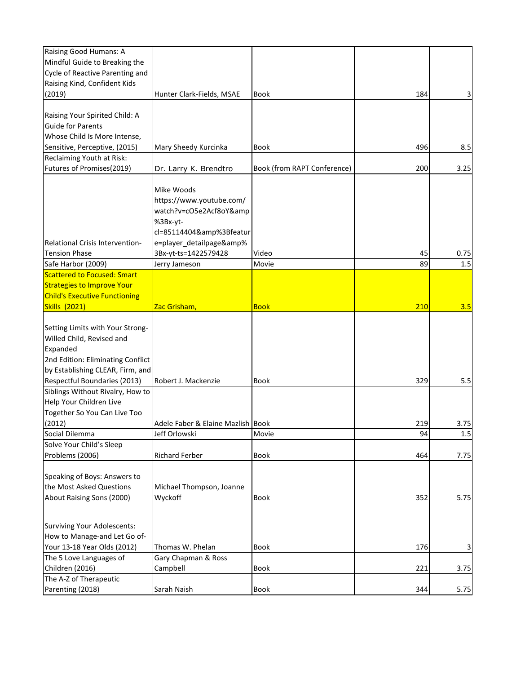| Raising Good Humans: A                 |                                   |                             |     |      |
|----------------------------------------|-----------------------------------|-----------------------------|-----|------|
| Mindful Guide to Breaking the          |                                   |                             |     |      |
| Cycle of Reactive Parenting and        |                                   |                             |     |      |
| Raising Kind, Confident Kids           |                                   |                             |     |      |
| (2019)                                 | Hunter Clark-Fields, MSAE         | <b>Book</b>                 | 184 | 3    |
|                                        |                                   |                             |     |      |
| Raising Your Spirited Child: A         |                                   |                             |     |      |
| <b>Guide for Parents</b>               |                                   |                             |     |      |
| Whose Child Is More Intense,           |                                   |                             |     |      |
| Sensitive, Perceptive, (2015)          | Mary Sheedy Kurcinka              | <b>Book</b>                 | 496 | 8.5  |
| Reclaiming Youth at Risk:              |                                   |                             |     |      |
| Futures of Promises(2019)              | Dr. Larry K. Brendtro             | Book (from RAPT Conference) | 200 | 3.25 |
|                                        |                                   |                             |     |      |
|                                        | Mike Woods                        |                             |     |      |
|                                        | https://www.youtube.com/          |                             |     |      |
|                                        | watch?v=cO5e2Acf8oY&              |                             |     |      |
|                                        | %3Bx-yt-                          |                             |     |      |
|                                        | cl=85114404&%3Bfeatur             |                             |     |      |
| <b>Relational Crisis Intervention-</b> | e=player_detailpage&%             |                             |     |      |
| <b>Tension Phase</b>                   | 3Bx-yt-ts=1422579428              | Video                       | 45  | 0.75 |
| Safe Harbor (2009)                     | Jerry Jameson                     | Movie                       | 89  | 1.5  |
| Scattered to Focused: Smart            |                                   |                             |     |      |
| <b>Strategies to Improve Your</b>      |                                   |                             |     |      |
| <b>Child's Executive Functioning</b>   |                                   |                             |     |      |
| <b>Skills (2021)</b>                   | Zac Grisham,                      | <b>Book</b>                 | 210 | 3.5  |
|                                        |                                   |                             |     |      |
| Setting Limits with Your Strong-       |                                   |                             |     |      |
| Willed Child, Revised and              |                                   |                             |     |      |
| Expanded                               |                                   |                             |     |      |
| 2nd Edition: Eliminating Conflict      |                                   |                             |     |      |
| by Establishing CLEAR, Firm, and       |                                   |                             |     |      |
| Respectful Boundaries (2013)           | Robert J. Mackenzie               | <b>Book</b>                 | 329 | 5.5  |
| Siblings Without Rivalry, How to       |                                   |                             |     |      |
| Help Your Children Live                |                                   |                             |     |      |
| Together So You Can Live Too           |                                   |                             |     |      |
| (2012)                                 | Adele Faber & Elaine Mazlish Book |                             | 219 | 3.75 |
| Social Dilemma                         | Jeff Orlowski                     | Movie                       | 94  | 1.5  |
| Solve Your Child's Sleep               |                                   |                             |     |      |
| Problems (2006)                        | <b>Richard Ferber</b>             | Book                        | 464 | 7.75 |
|                                        |                                   |                             |     |      |
| Speaking of Boys: Answers to           |                                   |                             |     |      |
| the Most Asked Questions               | Michael Thompson, Joanne          |                             |     |      |
| About Raising Sons (2000)              | Wyckoff                           | Book                        | 352 | 5.75 |
|                                        |                                   |                             |     |      |
|                                        |                                   |                             |     |      |
| <b>Surviving Your Adolescents:</b>     |                                   |                             |     |      |
| How to Manage-and Let Go of-           |                                   |                             |     |      |
| Your 13-18 Year Olds (2012)            | Thomas W. Phelan                  | Book                        | 176 | 3    |
| The 5 Love Languages of                | Gary Chapman & Ross               |                             |     |      |
| Children (2016)                        | Campbell                          | Book                        | 221 | 3.75 |
| The A-Z of Therapeutic                 |                                   |                             |     |      |
| Parenting (2018)                       | Sarah Naish                       | Book                        | 344 | 5.75 |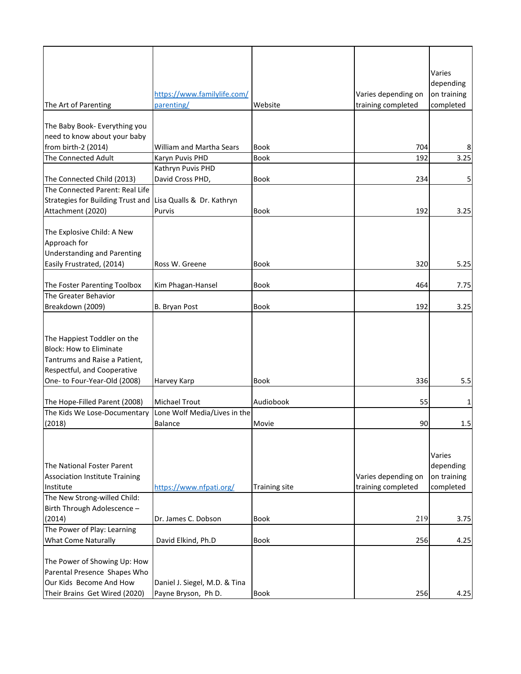| The Art of Parenting                                                                                                                                          | https://www.familylife.com/<br>parenting/            | Website              | Varies depending on<br>training completed | Varies<br>depending<br>on training<br>completed |
|---------------------------------------------------------------------------------------------------------------------------------------------------------------|------------------------------------------------------|----------------------|-------------------------------------------|-------------------------------------------------|
| The Baby Book- Everything you                                                                                                                                 |                                                      |                      |                                           |                                                 |
| need to know about your baby                                                                                                                                  |                                                      |                      |                                           |                                                 |
| from birth-2 (2014)                                                                                                                                           | <b>William and Martha Sears</b>                      | <b>Book</b>          | 704                                       | 8                                               |
| <b>The Connected Adult</b>                                                                                                                                    | Karyn Puvis PHD                                      | <b>Book</b>          | 192                                       | 3.25                                            |
|                                                                                                                                                               | Kathryn Puvis PHD                                    |                      |                                           |                                                 |
| The Connected Child (2013)                                                                                                                                    | David Cross PHD,                                     | <b>Book</b>          | 234                                       | 5                                               |
| The Connected Parent: Real Life                                                                                                                               |                                                      |                      |                                           |                                                 |
| Strategies for Building Trust and                                                                                                                             | Lisa Qualls & Dr. Kathryn                            |                      |                                           |                                                 |
| Attachment (2020)                                                                                                                                             | Purvis                                               | <b>Book</b>          | 192                                       | 3.25                                            |
| The Explosive Child: A New<br>Approach for<br><b>Understanding and Parenting</b><br>Easily Frustrated, (2014)                                                 | Ross W. Greene                                       | Book                 | 320                                       | 5.25                                            |
|                                                                                                                                                               |                                                      |                      |                                           |                                                 |
| The Foster Parenting Toolbox<br>The Greater Behavior                                                                                                          | Kim Phagan-Hansel                                    | <b>Book</b>          | 464                                       | 7.75                                            |
| Breakdown (2009)                                                                                                                                              | B. Bryan Post                                        | <b>Book</b>          | 192                                       | 3.25                                            |
|                                                                                                                                                               |                                                      |                      |                                           |                                                 |
| The Happiest Toddler on the<br><b>Block: How to Eliminate</b><br>Tantrums and Raise a Patient,<br>Respectful, and Cooperative<br>One- to Four-Year-Old (2008) | Harvey Karp                                          | Book                 | 336                                       | 5.5                                             |
| The Hope-Filled Parent (2008)                                                                                                                                 | <b>Michael Trout</b>                                 | Audiobook            | 55                                        | 1                                               |
| The Kids We Lose-Documentary                                                                                                                                  | Lone Wolf Media/Lives in the                         |                      |                                           |                                                 |
| (2018)                                                                                                                                                        | <b>Balance</b>                                       | Movie                | 90                                        | 1.5                                             |
| The National Foster Parent<br><b>Association Institute Training</b><br>Institute                                                                              | https://www.nfpati.org/                              | <b>Training site</b> | Varies depending on<br>training completed | Varies<br>depending<br>on training<br>completed |
| The New Strong-willed Child:                                                                                                                                  |                                                      |                      |                                           |                                                 |
| Birth Through Adolescence -                                                                                                                                   | Dr. James C. Dobson                                  | <b>Book</b>          | 219                                       |                                                 |
| (2014)<br>The Power of Play: Learning                                                                                                                         |                                                      |                      |                                           | 3.75                                            |
| <b>What Come Naturally</b>                                                                                                                                    | David Elkind, Ph.D                                   | <b>Book</b>          | 256                                       | 4.25                                            |
| The Power of Showing Up: How<br>Parental Presence Shapes Who<br>Our Kids Become And How<br>Their Brains Get Wired (2020)                                      | Daniel J. Siegel, M.D. & Tina<br>Payne Bryson, Ph D. | Book                 | 256                                       | 4.25                                            |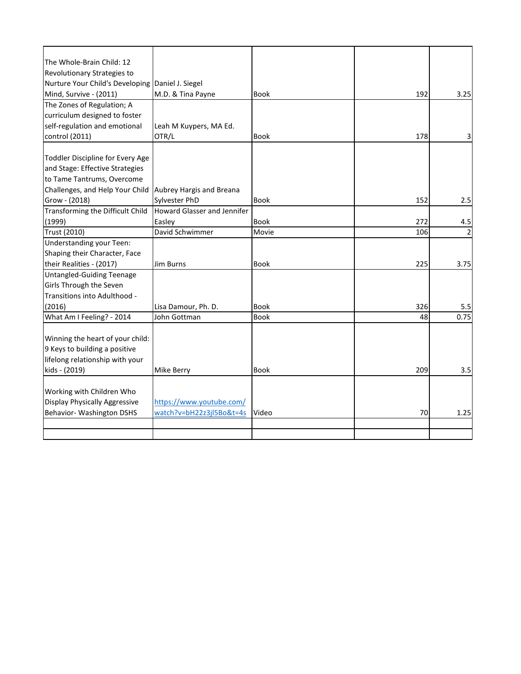| The Whole-Brain Child: 12            |                                    |             |     |      |
|--------------------------------------|------------------------------------|-------------|-----|------|
| Revolutionary Strategies to          |                                    |             |     |      |
| Nurture Your Child's Developing      | Daniel J. Siegel                   |             |     |      |
| Mind, Survive - (2011)               | M.D. & Tina Payne                  | <b>Book</b> | 192 | 3.25 |
| The Zones of Regulation; A           |                                    |             |     |      |
| curriculum designed to foster        |                                    |             |     |      |
| self-regulation and emotional        | Leah M Kuypers, MA Ed.             |             |     |      |
| control (2011)                       | OTR/L                              | <b>Book</b> | 178 | 3    |
|                                      |                                    |             |     |      |
| Toddler Discipline for Every Age     |                                    |             |     |      |
| and Stage: Effective Strategies      |                                    |             |     |      |
| to Tame Tantrums, Overcome           |                                    |             |     |      |
| Challenges, and Help Your Child      | Aubrey Hargis and Breana           |             |     |      |
| Grow - (2018)                        | Sylvester PhD                      | <b>Book</b> | 152 | 2.5  |
| Transforming the Difficult Child     | <b>Howard Glasser and Jennifer</b> |             |     |      |
| (1999)                               | Easlev                             | <b>Book</b> | 272 | 4.5  |
| Trust (2010)                         | David Schwimmer                    | Movie       | 106 |      |
| Understanding your Teen:             |                                    |             |     |      |
| Shaping their Character, Face        |                                    |             |     |      |
| their Realities - (2017)             | Jim Burns                          | <b>Book</b> | 225 | 3.75 |
| <b>Untangled-Guiding Teenage</b>     |                                    |             |     |      |
| Girls Through the Seven              |                                    |             |     |      |
| Transitions into Adulthood -         |                                    |             |     |      |
| (2016)                               | Lisa Damour, Ph. D.                | <b>Book</b> | 326 | 5.5  |
| What Am I Feeling? - 2014            | John Gottman                       | Book        | 48  | 0.75 |
|                                      |                                    |             |     |      |
| Winning the heart of your child:     |                                    |             |     |      |
| 9 Keys to building a positive        |                                    |             |     |      |
| lifelong relationship with your      |                                    |             |     |      |
| kids - (2019)                        | Mike Berry                         | <b>Book</b> | 209 | 3.5  |
|                                      |                                    |             |     |      |
| Working with Children Who            |                                    |             |     |      |
| <b>Display Physically Aggressive</b> | https://www.youtube.com/           |             |     |      |
| Behavior- Washington DSHS            | watch?v=bH22z3jl5Bo&t=4s           | Video       | 70  | 1.25 |
|                                      |                                    |             |     |      |
|                                      |                                    |             |     |      |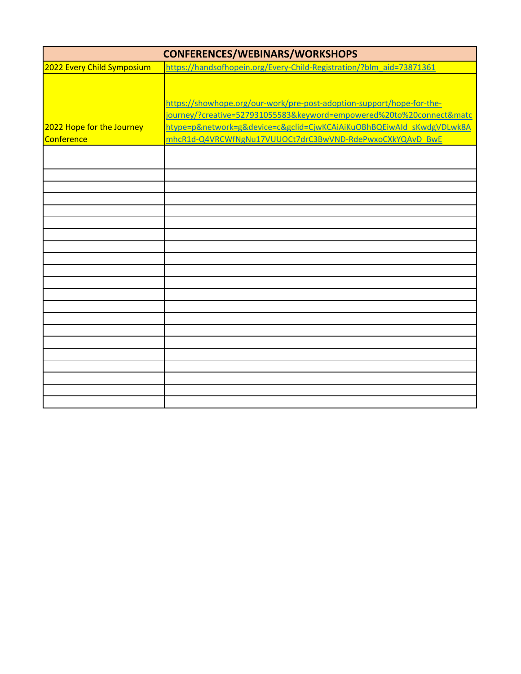| <b>CONFERENCES/WEBINARS/WORKSHOPS</b> |                                                                       |  |
|---------------------------------------|-----------------------------------------------------------------------|--|
| 2022 Every Child Symposium            | https://handsofhopein.org/Every-Child-Registration/?blm aid=73871361  |  |
|                                       |                                                                       |  |
|                                       |                                                                       |  |
|                                       | https://showhope.org/our-work/pre-post-adoption-support/hope-for-the- |  |
|                                       | journey/?creative=527931055583&keyword=empowered%20to%20connect&matc  |  |
| 2022 Hope for the Journey             | htype=p&network=g&device=c&gclid=CjwKCAiAiKuOBhBQEiwAId sKwdgVDLwk8A  |  |
| Conference                            | mhcR1d-Q4VRCWfNgNu17VUUOCt7drC3BwVND-RdePwxoCXkYQAvD_BwE              |  |
|                                       |                                                                       |  |
|                                       |                                                                       |  |
|                                       |                                                                       |  |
|                                       |                                                                       |  |
|                                       |                                                                       |  |
|                                       |                                                                       |  |
|                                       |                                                                       |  |
|                                       |                                                                       |  |
|                                       |                                                                       |  |
|                                       |                                                                       |  |
|                                       |                                                                       |  |
|                                       |                                                                       |  |
|                                       |                                                                       |  |
|                                       |                                                                       |  |
|                                       |                                                                       |  |
|                                       |                                                                       |  |
|                                       |                                                                       |  |
|                                       |                                                                       |  |
|                                       |                                                                       |  |
|                                       |                                                                       |  |
|                                       |                                                                       |  |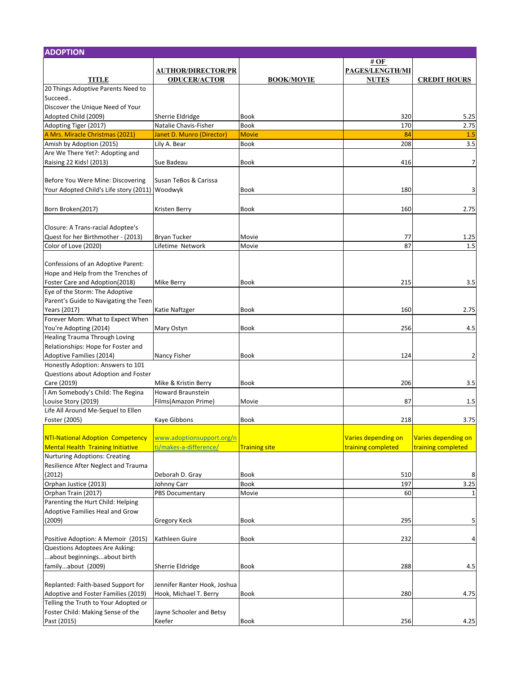| <b>ADOPTION</b>                                          |                                           |                      |                     |                     |
|----------------------------------------------------------|-------------------------------------------|----------------------|---------------------|---------------------|
|                                                          |                                           |                      | # $OF$              |                     |
|                                                          | <b>AUTHOR/DIRECTOR/PR</b>                 |                      | PAGES/LENGTH/MI     |                     |
| <b>TITLE</b>                                             | <b>ODUCER/ACTOR</b>                       | <b>BOOK/MOVIE</b>    | <b>NUTES</b>        | <b>CREDIT HOURS</b> |
| 20 Things Adoptive Parents Need to<br>Succeed            |                                           |                      |                     |                     |
| Discover the Unique Need of Your                         |                                           |                      |                     |                     |
|                                                          |                                           |                      |                     |                     |
| Adopted Child (2009)                                     | Sherrie Eldridge<br>Natalie Chavis-Fisher | Book<br><b>Book</b>  | 320<br>170          | 5.25<br>2.75        |
| Adopting Tiger (2017)<br>A Mrs. Miracle Christmas (2021) | Janet D. Munro (Director)                 | <b>Movie</b>         | 84                  | 1.5                 |
| Amish by Adoption (2015)                                 | Lily A. Bear                              | <b>Book</b>          | 208                 | 3.5                 |
| Are We There Yet?: Adopting and                          |                                           |                      |                     |                     |
| Raising 22 Kids! (2013)                                  | Sue Badeau                                | <b>Book</b>          | 416                 | $\overline{7}$      |
|                                                          |                                           |                      |                     |                     |
| Before You Were Mine: Discovering                        | Susan TeBos & Carissa                     |                      |                     |                     |
| Your Adopted Child's Life story (2011) Woodwyk           |                                           | Book                 | 180                 | 3                   |
|                                                          |                                           |                      |                     |                     |
| Born Broken(2017)                                        | Kristen Berry                             | Book                 | 160                 | 2.75                |
|                                                          |                                           |                      |                     |                     |
| Closure: A Trans-racial Adoptee's                        |                                           |                      |                     |                     |
| Quest for her Birthmother - (2013)                       | <b>Bryan Tucker</b>                       | Movie                | 77                  | 1.25                |
| Color of Love (2020)                                     | Lifetime Network                          | Movie                | 87                  | 1.5                 |
|                                                          |                                           |                      |                     |                     |
| Confessions of an Adoptive Parent:                       |                                           |                      |                     |                     |
| Hope and Help from the Trenches of                       |                                           |                      |                     |                     |
| Foster Care and Adoption(2018)                           | <b>Mike Berry</b>                         | <b>Book</b>          | 215                 | 3.5                 |
| Eye of the Storm: The Adoptive                           |                                           |                      |                     |                     |
| Parent's Guide to Navigating the Teen                    |                                           |                      |                     |                     |
| Years (2017)                                             | Katie Naftzger                            | Book                 | 160                 | 2.75                |
| Forever Mom: What to Expect When                         |                                           |                      |                     |                     |
| You're Adopting (2014)                                   | Mary Ostyn                                | <b>Book</b>          | 256                 | 4.5                 |
| <b>Healing Trauma Through Loving</b>                     |                                           |                      |                     |                     |
| Relationships: Hope for Foster and                       |                                           |                      |                     |                     |
| Adoptive Families (2014)                                 | Nancy Fisher                              | <b>Book</b>          | 124                 | $\overline{2}$      |
| Honestly Adoption: Answers to 101                        |                                           |                      |                     |                     |
| Questions about Adoption and Foster                      |                                           |                      |                     |                     |
| Care (2019)                                              | Mike & Kristin Berry                      | Book                 | 206                 | 3.5                 |
| I Am Somebody's Child: The Regina                        | <b>Howard Braunstein</b>                  |                      |                     |                     |
| Louise Story (2019)                                      | Films(Amazon Prime)                       | Movie                | 87                  | 1.5                 |
| Life All Around Me-Sequel to Ellen                       |                                           |                      |                     |                     |
| Foster (2005)                                            | Kaye Gibbons                              | <b>Book</b>          | 218                 | 3.75                |
|                                                          |                                           |                      |                     |                     |
| NTI-National Adoption Competency                         | www.adoptionsupport.org/n                 |                      | Varies depending on | Varies depending on |
| <b>Mental Health Training Initiative</b>                 | ti/makes-a-difference/                    | <b>Training site</b> | training completed  | training completed  |
| <b>Nurturing Adoptions: Creating</b>                     |                                           |                      |                     |                     |
| Resilience After Neglect and Trauma                      |                                           |                      |                     |                     |
| (2012)                                                   | Deborah D. Gray                           | <b>Book</b>          | 510                 | 8                   |
| Orphan Justice (2013)                                    | Johnny Carr                               | Book                 | 197                 | 3.25                |
| Orphan Train (2017)                                      | <b>PBS Documentary</b>                    | Movie                | 60                  | $\mathbf{1}$        |
| Parenting the Hurt Child: Helping                        |                                           |                      |                     |                     |
| Adoptive Families Heal and Grow                          |                                           |                      |                     |                     |
| (2009)                                                   | <b>Gregory Keck</b>                       | Book                 | 295                 | 5                   |
|                                                          |                                           |                      |                     |                     |
| Positive Adoption: A Memoir (2015)                       | Kathleen Guire                            | Book                 | 232                 | 4                   |
| Questions Adoptees Are Asking:                           |                                           |                      |                     |                     |
| about beginningsabout birth                              |                                           |                      |                     |                     |
| familyabout (2009)                                       | Sherrie Eldridge                          | <b>Book</b>          | 288                 | 4.5                 |
|                                                          |                                           |                      |                     |                     |
| Replanted: Faith-based Support for                       | Jennifer Ranter Hook, Joshua              |                      |                     |                     |
| Adoptive and Foster Families (2019)                      | Hook, Michael T. Berry                    | <b>Book</b>          | 280                 | 4.75                |
| Telling the Truth to Your Adopted or                     |                                           |                      |                     |                     |
| Foster Child: Making Sense of the                        | Jayne Schooler and Betsy                  |                      |                     |                     |
| Past (2015)                                              | Keefer                                    | Book                 | 256                 | 4.25                |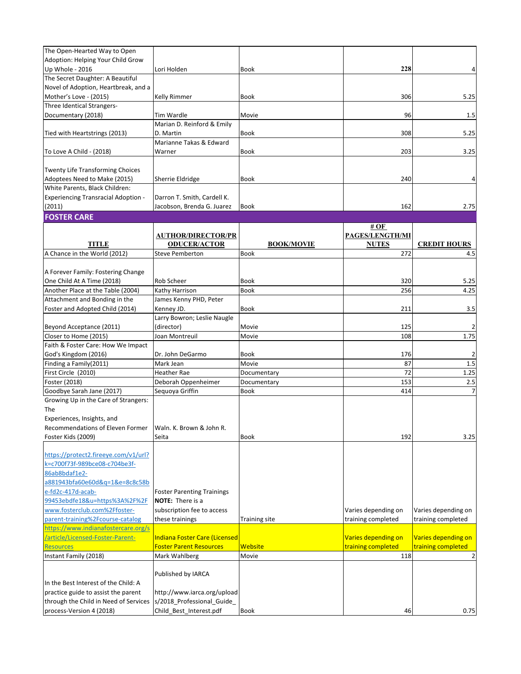| The Open-Hearted Way to Open               |                                   |                   |                     |                     |
|--------------------------------------------|-----------------------------------|-------------------|---------------------|---------------------|
| Adoption: Helping Your Child Grow          |                                   |                   |                     |                     |
|                                            |                                   |                   |                     |                     |
| Up Whole - 2016                            | Lori Holden                       | <b>Book</b>       | 228                 | 4                   |
| The Secret Daughter: A Beautiful           |                                   |                   |                     |                     |
| Novel of Adoption, Heartbreak, and a       |                                   |                   |                     |                     |
| Mother's Love - (2015)                     | Kelly Rimmer                      | Book              | 306                 | 5.25                |
| Three Identical Strangers-                 |                                   |                   |                     |                     |
| Documentary (2018)                         | Tim Wardle                        | Movie             | 96                  | 1.5                 |
|                                            | Marian D. Reinford & Emily        |                   |                     |                     |
| Tied with Heartstrings (2013)              | D. Martin                         | Book              | 308                 | 5.25                |
|                                            | Marianne Takas & Edward           |                   |                     |                     |
| To Love A Child - (2018)                   | Warner                            | Book              | 203                 | 3.25                |
|                                            |                                   |                   |                     |                     |
|                                            |                                   |                   |                     |                     |
| <b>Twenty Life Transforming Choices</b>    |                                   |                   |                     |                     |
| Adoptees Need to Make (2015)               | Sherrie Eldridge                  | Book              | 240                 | $\overline{a}$      |
| White Parents, Black Children:             |                                   |                   |                     |                     |
| <b>Experiencing Transracial Adoption -</b> | Darron T. Smith, Cardell K.       |                   |                     |                     |
| (2011)                                     | Jacobson, Brenda G. Juarez        | Book              | 162                 | 2.75                |
| <b>FOSTER CARE</b>                         |                                   |                   |                     |                     |
|                                            |                                   |                   | # $OF$              |                     |
|                                            | <b>AUTHOR/DIRECTOR/PR</b>         |                   | PAGES/LENGTH/MI     |                     |
| <b>TITLE</b>                               | <b>ODUCER/ACTOR</b>               | <b>BOOK/MOVIE</b> | <b>NUTES</b>        | <b>CREDIT HOURS</b> |
| A Chance in the World (2012)               | <b>Steve Pemberton</b>            | Book              | 272                 | 4.5                 |
|                                            |                                   |                   |                     |                     |
| A Forever Family: Fostering Change         |                                   |                   |                     |                     |
| One Child At A Time (2018)                 | Rob Scheer                        | Book              | 320                 |                     |
|                                            |                                   |                   |                     | 5.25                |
| Another Place at the Table (2004)          | Kathy Harrison                    | Book              | 256                 | 4.25                |
| Attachment and Bonding in the              | James Kenny PHD, Peter            |                   |                     |                     |
| Foster and Adopted Child (2014)            | Kenney JD.                        | Book              | 211                 | 3.5                 |
|                                            | Larry Bowron; Leslie Naugle       |                   |                     |                     |
| Beyond Acceptance (2011)                   | (director)                        | Movie             | 125                 | $\overline{2}$      |
| Closer to Home (2015)                      | Joan Montreuil                    | Movie             | 108                 | 1.75                |
| Faith & Foster Care: How We Impact         |                                   |                   |                     |                     |
| God's Kingdom (2016)                       | Dr. John DeGarmo                  | Book              | 176                 | $\overline{2}$      |
| Finding a Family(2011)                     | Mark Jean                         | Movie             | 87                  | 1.5                 |
| First Circle (2010)                        | Heather Rae                       | Documentary       | 72                  | 1.25                |
|                                            |                                   |                   |                     |                     |
| Foster (2018)                              | Deborah Oppenheimer               | Documentary       | 153                 | 2.5                 |
| Goodbye Sarah Jane (2017)                  | Sequoya Griffin                   | Book              | 414                 | $\overline{7}$      |
| Growing Up in the Care of Strangers:       |                                   |                   |                     |                     |
| The                                        |                                   |                   |                     |                     |
| Experiences, Insights, and                 |                                   |                   |                     |                     |
| Recommendations of Eleven Former           | Waln. K. Brown & John R.          |                   |                     |                     |
| Foster Kids (2009)                         | Seita                             | Book              | 192                 | 3.25                |
|                                            |                                   |                   |                     |                     |
| https://protect2.fireeye.com/v1/url?       |                                   |                   |                     |                     |
| k=c700f73f-989bce08-c704be3f-              |                                   |                   |                     |                     |
| 86ab8bdaf1e2-                              |                                   |                   |                     |                     |
| a881943bfa60e60d&q=1&e=8c8c58b             |                                   |                   |                     |                     |
|                                            |                                   |                   |                     |                     |
| e-fd2c-417d-acab-                          | <b>Foster Parenting Trainings</b> |                   |                     |                     |
| 99453ebdfe18&u=https%3A%2F%2F              | <b>NOTE:</b> There is a           |                   |                     |                     |
| www.fosterclub.com%2Ffoster-               | subscription fee to access        |                   | Varies depending on | Varies depending on |
| parent-training%2Fcourse-catalog           | these trainings                   | Training site     | training completed  | training completed  |
| https://www.indianafostercare.org/s        |                                   |                   |                     |                     |
| /article/Licensed-Foster-Parent-           | Indiana Foster Care (Licensed     |                   | Varies depending on | Varies depending on |
| <b>Resources</b>                           | <b>Foster Parent Resources</b>    | <b>Website</b>    | training completed  | training completed  |
| Instant Family (2018)                      | Mark Wahlberg                     | Movie             | 118                 | $\overline{2}$      |
|                                            |                                   |                   |                     |                     |
|                                            | Published by IARCA                |                   |                     |                     |
| In the Best Interest of the Child: A       |                                   |                   |                     |                     |
| practice guide to assist the parent        | http://www.iarca.org/upload       |                   |                     |                     |
| through the Child in Need of Services      | s/2018_Professional_Guide_        |                   |                     |                     |
| process-Version 4 (2018)                   | Child_Best_Interest.pdf           | Book              | 46                  | 0.75                |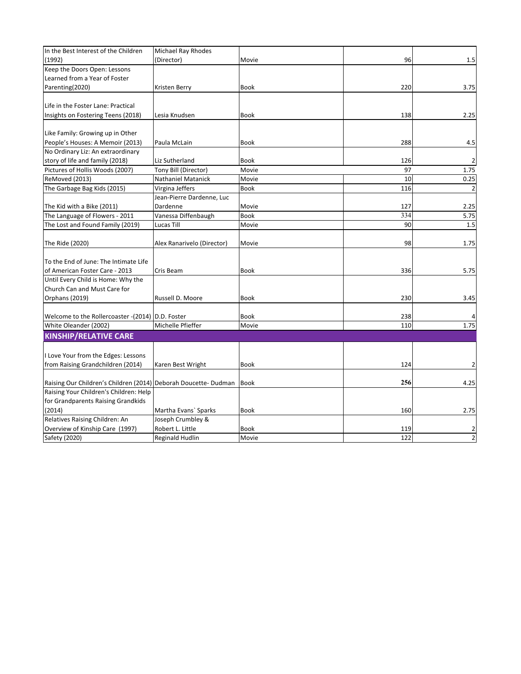| In the Best Interest of the Children<br>Michael Ray Rhodes<br>(1992)<br>96<br>(Director)<br>Movie<br>Keep the Doors Open: Lessons | 1.5            |
|-----------------------------------------------------------------------------------------------------------------------------------|----------------|
|                                                                                                                                   |                |
|                                                                                                                                   |                |
|                                                                                                                                   |                |
| Learned from a Year of Foster                                                                                                     |                |
| Parenting(2020)<br>220<br>Kristen Berry<br>Book                                                                                   | 3.75           |
|                                                                                                                                   |                |
| Life in the Foster Lane: Practical                                                                                                |                |
| Insights on Fostering Teens (2018)<br>138<br>Lesia Knudsen<br>Book                                                                | 2.25           |
|                                                                                                                                   |                |
| Like Family: Growing up in Other                                                                                                  |                |
| People's Houses: A Memoir (2013)<br>288<br>Paula McLain<br>Book                                                                   | 4.5            |
| No Ordinary Liz: An extraordinary                                                                                                 |                |
| story of life and family (2018)<br>Liz Sutherland<br>Book<br>126                                                                  | $\overline{2}$ |
| Pictures of Hollis Woods (2007)<br>Tony Bill (Director)<br>Movie<br>97                                                            | 1.75           |
| ReMoved (2013)<br>10<br>Nathaniel Matanick<br>Movie                                                                               | 0.25           |
| The Garbage Bag Kids (2015)<br>Virgina Jeffers<br>116<br>Book                                                                     | $\overline{2}$ |
| Jean-Pierre Dardenne, Luc                                                                                                         |                |
| The Kid with a Bike (2011)<br>Dardenne<br>Movie<br>127                                                                            | 2.25           |
| 334<br>The Language of Flowers - 2011<br>Vanessa Diffenbaugh<br><b>Book</b>                                                       | 5.75           |
| 90<br>The Lost and Found Family (2019)<br>Lucas Till<br>Movie                                                                     | 1.5            |
|                                                                                                                                   |                |
| The Ride (2020)<br>Alex Ranarivelo (Director)<br>98<br>Movie                                                                      | 1.75           |
|                                                                                                                                   |                |
| To the End of June: The Intimate Life                                                                                             |                |
| of American Foster Care - 2013<br>Cris Beam<br>336<br>Book                                                                        | 5.75           |
| Until Every Child is Home: Why the                                                                                                |                |
| Church Can and Must Care for                                                                                                      |                |
| <b>Orphans (2019)</b><br>230<br>Russell D. Moore<br>Book                                                                          | 3.45           |
|                                                                                                                                   |                |
| Welcome to the Rollercoaster - (2014) D.D. Foster<br>Book<br>238                                                                  |                |
| White Oleander (2002)<br>Michelle Pfieffer<br>Movie<br>110                                                                        | 1.75           |
| <b>KINSHIP/RELATIVE CARE</b>                                                                                                      |                |
|                                                                                                                                   |                |
| I Love Your from the Edges: Lessons                                                                                               |                |
| from Raising Grandchildren (2014)<br>124<br>Karen Best Wright<br>Book                                                             | 2              |
|                                                                                                                                   |                |
| 256<br>Raising Our Children's Children (2014) Deborah Doucette- Dudman<br><b>Book</b>                                             | 4.25           |
| Raising Your Children's Children: Help                                                                                            |                |
| for Grandparents Raising Grandkids                                                                                                |                |
| (2014)<br>Martha Evans' Sparks<br>Book<br>160                                                                                     | 2.75           |
| Relatives Raising Children: An<br>Joseph Crumbley &                                                                               |                |
| Robert L. Little<br>Overview of Kinship Care (1997)<br><b>Book</b><br>119                                                         | 2              |
| 122<br>Safety (2020)<br>Reginald Hudlin<br>Movie                                                                                  | $\overline{2}$ |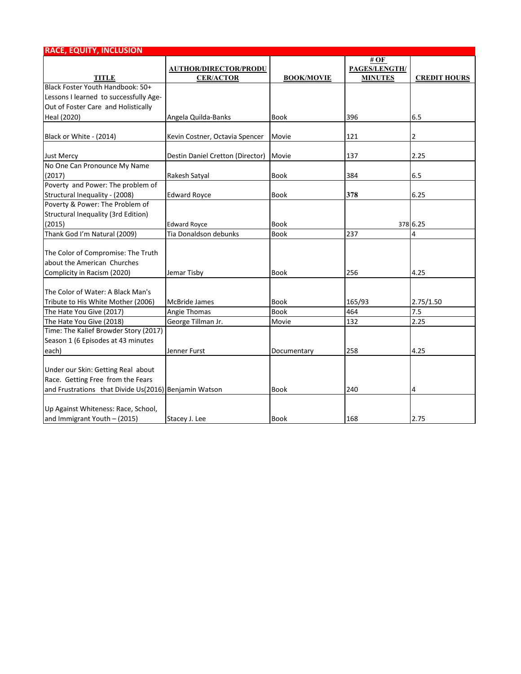| <b>RACE, EQUITY, INCLUSION</b>                        |                                  |                   |                |                     |
|-------------------------------------------------------|----------------------------------|-------------------|----------------|---------------------|
|                                                       |                                  |                   | # OF           |                     |
|                                                       | <b>AUTHOR/DIRECTOR/PRODU</b>     |                   | PAGES/LENGTH/  |                     |
| <b>TITLE</b>                                          | <b>CER/ACTOR</b>                 | <b>BOOK/MOVIE</b> | <b>MINUTES</b> | <b>CREDIT HOURS</b> |
| Black Foster Youth Handbook: 50+                      |                                  |                   |                |                     |
| Lessons I learned to successfully Age-                |                                  |                   |                |                     |
| Out of Foster Care and Holistically                   |                                  |                   |                |                     |
| Heal (2020)                                           | Angela Quilda-Banks              | <b>Book</b>       | 396            | 6.5                 |
| Black or White - (2014)                               | Kevin Costner, Octavia Spencer   | Movie             | 121            | 2                   |
| <b>Just Mercy</b>                                     | Destin Daniel Cretton (Director) | Movie             | 137            | 2.25                |
| No One Can Pronounce My Name                          |                                  |                   |                |                     |
| (2017)                                                | Rakesh Satyal                    | Book              | 384            | 6.5                 |
| Poverty and Power: The problem of                     |                                  |                   |                |                     |
| Structural Inequality - (2008)                        | <b>Edward Royce</b>              | Book              | 378            | 6.25                |
| Poverty & Power: The Problem of                       |                                  |                   |                |                     |
| Structural Inequality (3rd Edition)                   |                                  |                   |                |                     |
| (2015)                                                | <b>Edward Royce</b>              | Book              |                | 378 6.25            |
| Thank God I'm Natural (2009)                          | Tia Donaldson debunks            | Book              | 237            | 4                   |
|                                                       |                                  |                   |                |                     |
| The Color of Compromise: The Truth                    |                                  |                   |                |                     |
| about the American Churches                           |                                  |                   |                |                     |
| Complicity in Racism (2020)                           | Jemar Tisby                      | <b>Book</b>       | 256            | 4.25                |
| The Color of Water: A Black Man's                     |                                  |                   |                |                     |
| Tribute to His White Mother (2006)                    | <b>McBride James</b>             | Book              | 165/93         | 2.75/1.50           |
| The Hate You Give (2017)                              | Angie Thomas                     | <b>Book</b>       | 464            | 7.5                 |
| The Hate You Give (2018)                              | George Tillman Jr.               | Movie             | 132            | 2.25                |
| Time: The Kalief Browder Story (2017)                 |                                  |                   |                |                     |
| Season 1 (6 Episodes at 43 minutes                    |                                  |                   |                |                     |
| each)                                                 | Jenner Furst                     | Documentary       | 258            | 4.25                |
|                                                       |                                  |                   |                |                     |
| Under our Skin: Getting Real about                    |                                  |                   |                |                     |
| Race. Getting Free from the Fears                     |                                  |                   |                |                     |
| and Frustrations that Divide Us(2016) Benjamin Watson |                                  | Book              | 240            | 4                   |
|                                                       |                                  |                   |                |                     |
| Up Against Whiteness: Race, School,                   |                                  |                   |                |                     |
| and Immigrant Youth - (2015)                          | Stacey J. Lee                    | <b>Book</b>       | 168            | 2.75                |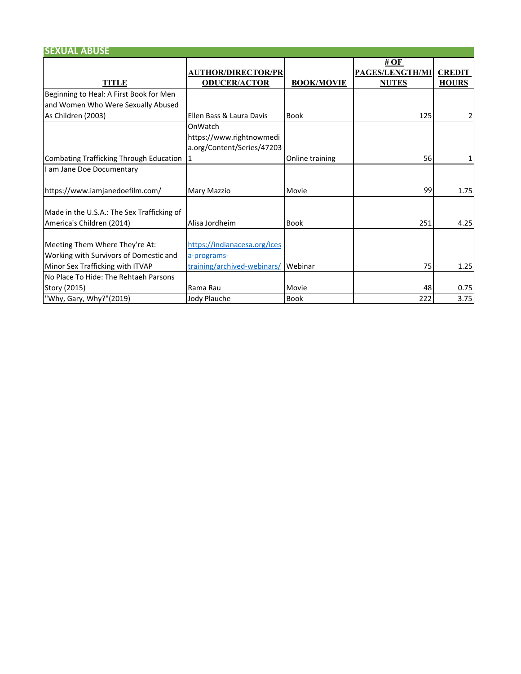| <b>SEXUAL ABUSE</b>                                                                                          |                                                                            |                   |                                                       |                               |
|--------------------------------------------------------------------------------------------------------------|----------------------------------------------------------------------------|-------------------|-------------------------------------------------------|-------------------------------|
| <b>TITLE</b>                                                                                                 | <b>AUTHOR/DIRECTOR/PR</b><br><b>ODUCER/ACTOR</b>                           | <b>BOOK/MOVIE</b> | # $\bf{OF}$<br><b>PAGES/LENGTH/MI</b><br><b>NUTES</b> | <b>CREDIT</b><br><b>HOURS</b> |
| Beginning to Heal: A First Book for Men                                                                      |                                                                            |                   |                                                       |                               |
| and Women Who Were Sexually Abused                                                                           |                                                                            |                   |                                                       |                               |
| As Children (2003)                                                                                           | Ellen Bass & Laura Davis                                                   | <b>Book</b>       | 125                                                   | 2                             |
|                                                                                                              | OnWatch<br>https://www.rightnowmedi<br>a.org/Content/Series/47203          |                   |                                                       |                               |
| Combating Trafficking Through Education                                                                      | 11                                                                         | Online training   | 56                                                    |                               |
| I am Jane Doe Documentary                                                                                    |                                                                            |                   |                                                       |                               |
| https://www.iamjanedoefilm.com/                                                                              | Mary Mazzio                                                                | Movie             | 99                                                    | 1.75                          |
| Made in the U.S.A.: The Sex Trafficking of<br>America's Children (2014)                                      | Alisa Jordheim                                                             | <b>Book</b>       | 251                                                   | 4.25                          |
| Meeting Them Where They're At:<br>Working with Survivors of Domestic and<br>Minor Sex Trafficking with ITVAP | https://indianacesa.org/ices<br>a-programs-<br>training/archived-webinars/ | Webinar           | 75                                                    | 1.25                          |
| No Place To Hide: The Rehtaeh Parsons                                                                        |                                                                            |                   |                                                       |                               |
| Story (2015)                                                                                                 | Rama Rau                                                                   | Movie             | 48                                                    | 0.75                          |
| "Why, Gary, Why?"(2019)                                                                                      | Jody Plauche                                                               | <b>Book</b>       | 222                                                   | 3.75                          |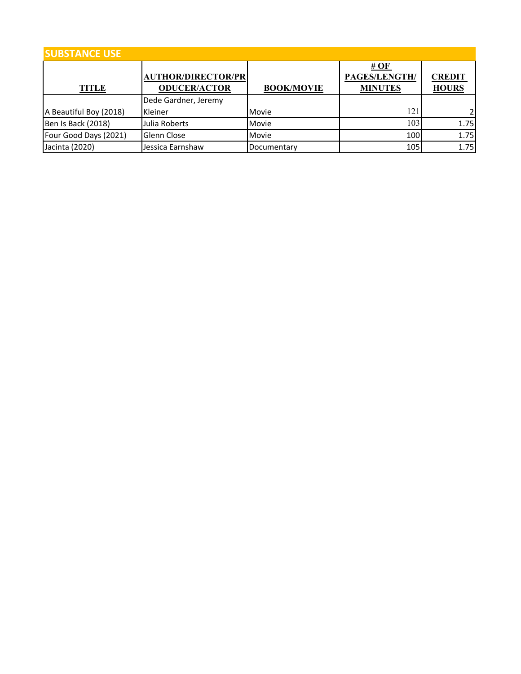| <b>SUBSTANCE USE</b>   |                           |                   |                      |               |  |  |
|------------------------|---------------------------|-------------------|----------------------|---------------|--|--|
|                        | <b>AUTHOR/DIRECTOR/PR</b> |                   | #OF<br>PAGES/LENGTH/ | <b>CREDIT</b> |  |  |
| <b>TITLE</b>           | <b>ODUCER/ACTOR</b>       | <b>BOOK/MOVIE</b> | <b>MINUTES</b>       | <b>HOURS</b>  |  |  |
|                        | Dede Gardner, Jeremy      |                   |                      |               |  |  |
| A Beautiful Boy (2018) | Kleiner                   | Movie             | 121                  | 21            |  |  |
| Ben Is Back (2018)     | Julia Roberts             | Movie             | 103                  | 1.75          |  |  |
| Four Good Days (2021)  | Glenn Close               | Movie             | 100                  | 1.75          |  |  |
| Jacinta (2020)         | Jessica Earnshaw          | Documentary       | 105                  | 1.75          |  |  |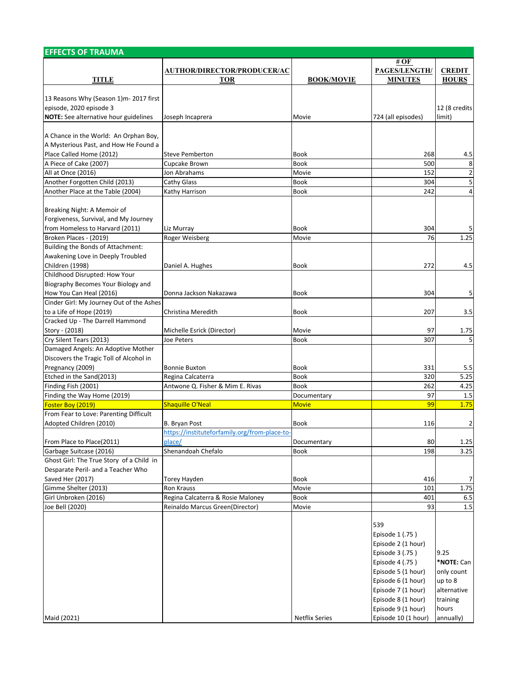| <b>EFFECTS OF TRAUMA</b>                                          |                                               |                       |                     |                |
|-------------------------------------------------------------------|-----------------------------------------------|-----------------------|---------------------|----------------|
|                                                                   |                                               |                       | # OF                |                |
|                                                                   | <b>AUTHOR/DIRECTOR/PRODUCER/AC</b>            |                       | PAGES/LENGTH/       | <b>CREDIT</b>  |
| <b>TITLE</b>                                                      | <b>TOR</b>                                    | <b>BOOK/MOVIE</b>     | <b>MINUTES</b>      | <b>HOURS</b>   |
|                                                                   |                                               |                       |                     |                |
| 13 Reasons Why (Season 1)m- 2017 first<br>episode, 2020 episode 3 |                                               |                       |                     |                |
|                                                                   |                                               |                       |                     | 12 (8 credits  |
| <b>NOTE:</b> See alternative hour guidelines                      | Joseph Incaprera                              | Movie                 | 724 (all episodes)  | limit)         |
| A Chance in the World: An Orphan Boy,                             |                                               |                       |                     |                |
| A Mysterious Past, and How He Found a                             |                                               |                       |                     |                |
| Place Called Home (2012)                                          | Steve Pemberton                               | Book                  | 268                 | 4.5            |
| A Piece of Cake (2007)                                            | Cupcake Brown                                 | <b>Book</b>           | 500                 | 8              |
| All at Once (2016)                                                | Jon Abrahams                                  | Movie                 | 152                 | $\overline{2}$ |
| Another Forgotten Child (2013)                                    | Cathy Glass                                   | <b>Book</b>           | 304                 | 5              |
| Another Place at the Table (2004)                                 | Kathy Harrison                                | <b>Book</b>           | 242                 | $\overline{4}$ |
|                                                                   |                                               |                       |                     |                |
| Breaking Night: A Memoir of                                       |                                               |                       |                     |                |
| Forgiveness, Survival, and My Journey                             |                                               |                       |                     |                |
| from Homeless to Harvard (2011)                                   |                                               | Book                  | 304                 | 5              |
|                                                                   | Liz Murray                                    |                       | 76                  | 1.25           |
| Broken Places - (2019)<br>Building the Bonds of Attachment:       | Roger Weisberg                                | Movie                 |                     |                |
|                                                                   |                                               |                       |                     |                |
| Awakening Love in Deeply Troubled                                 |                                               |                       |                     |                |
| Children (1998)                                                   | Daniel A. Hughes                              | Book                  | 272                 | 4.5            |
| Childhood Disrupted: How Your                                     |                                               |                       |                     |                |
| Biography Becomes Your Biology and                                |                                               |                       |                     |                |
| How You Can Heal (2016)                                           | Donna Jackson Nakazawa                        | Book                  | 304                 | 5              |
| Cinder Girl: My Journey Out of the Ashes                          |                                               |                       |                     |                |
| to a Life of Hope (2019)                                          | Christina Meredith                            | Book                  | 207                 | 3.5            |
| Cracked Up - The Darrell Hammond                                  |                                               |                       |                     |                |
| Story - (2018)                                                    | Michelle Esrick (Director)                    | Movie                 | 97                  | 1.75           |
| Cry Silent Tears (2013)                                           | Joe Peters                                    | <b>Book</b>           | 307                 | 5              |
| Damaged Angels: An Adoptive Mother                                |                                               |                       |                     |                |
| Discovers the Tragic Toll of Alcohol in                           |                                               |                       |                     |                |
| Pregnancy (2009)                                                  | <b>Bonnie Buxton</b>                          | Book                  | 331                 | 5.5            |
| Etched in the Sand(2013)                                          | Regina Calcaterra                             | Book                  | 320                 | 5.25           |
| Finding Fish (2001)                                               | Antwone Q. Fisher & Mim E. Rivas              | <b>Book</b>           | 262                 | 4.25           |
| Finding the Way Home (2019)                                       |                                               | Documentary           | 97                  | 1.5            |
| Foster Boy (2019)                                                 | Shaquille O'Neal                              | <b>Movie</b>          | 99                  | 1.75           |
| From Fear to Love: Parenting Difficult                            |                                               |                       |                     |                |
| Adopted Children (2010)                                           | B. Bryan Post                                 | Book                  | 116                 | $\overline{2}$ |
|                                                                   | https://instituteforfamily.org/from-place-to- |                       |                     |                |
| From Place to Place(2011)                                         | place/                                        | Documentary           | 80                  | 1.25           |
| Garbage Suitcase (2016)                                           | Shenandoah Chefalo                            | <b>Book</b>           | 198                 | 3.25           |
| Ghost Girl: The True Story of a Child in                          |                                               |                       |                     |                |
| Desparate Peril- and a Teacher Who                                |                                               |                       |                     |                |
| Saved Her (2017)                                                  | <b>Torey Hayden</b>                           | Book                  | 416                 | $\overline{7}$ |
| Gimme Shelter (2013)                                              | <b>Ron Krauss</b>                             | Movie                 | 101                 | 1.75           |
| Girl Unbroken (2016)                                              | Regina Calcaterra & Rosie Maloney             | <b>Book</b>           | 401                 | 6.5            |
| Joe Bell (2020)                                                   | Reinaldo Marcus Green(Director)               | Movie                 | 93                  | 1.5            |
|                                                                   |                                               |                       |                     |                |
|                                                                   |                                               |                       | 539                 |                |
|                                                                   |                                               |                       | Episode 1 (.75)     |                |
|                                                                   |                                               |                       | Episode 2 (1 hour)  |                |
|                                                                   |                                               |                       | Episode 3 (.75)     | 9.25           |
|                                                                   |                                               |                       | Episode 4 (.75)     | *NOTE: Can     |
|                                                                   |                                               |                       | Episode 5 (1 hour)  | only count     |
|                                                                   |                                               |                       | Episode 6 (1 hour)  | up to 8        |
|                                                                   |                                               |                       | Episode 7 (1 hour)  | alternative    |
|                                                                   |                                               |                       | Episode 8 (1 hour)  | training       |
|                                                                   |                                               |                       | Episode 9 (1 hour)  | hours          |
| Maid (2021)                                                       |                                               | <b>Netflix Series</b> | Episode 10 (1 hour) | annually)      |